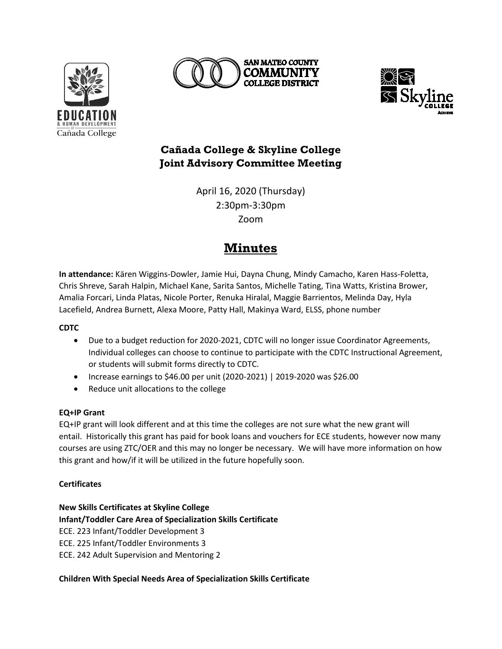





# **Cañada College & Skyline College Joint Advisory Committee Meeting**

April 16, 2020 (Thursday) 2:30pm-3:30pm Zoom

# **Minutes**

**In attendance:** Kären Wiggins-Dowler, Jamie Hui, Dayna Chung, Mindy Camacho, Karen Hass-Foletta, Chris Shreve, Sarah Halpin, Michael Kane, Sarita Santos, Michelle Tating, Tina Watts, Kristina Brower, Amalia Forcari, Linda Platas, Nicole Porter, Renuka Hiralal, Maggie Barrientos, Melinda Day, Hyla Lacefield, Andrea Burnett, Alexa Moore, Patty Hall, Makinya Ward, ELSS, phone number

# **CDTC**

- Due to a budget reduction for 2020-2021, CDTC will no longer issue Coordinator Agreements, Individual colleges can choose to continue to participate with the CDTC Instructional Agreement, or students will submit forms directly to CDTC.
- Increase earnings to \$46.00 per unit (2020-2021) | 2019-2020 was \$26.00
- Reduce unit allocations to the college

# **EQ+IP Grant**

EQ+IP grant will look different and at this time the colleges are not sure what the new grant will entail. Historically this grant has paid for book loans and vouchers for ECE students, however now many courses are using ZTC/OER and this may no longer be necessary. We will have more information on how this grant and how/if it will be utilized in the future hopefully soon.

# **Certificates**

**New Skills Certificates at Skyline College Infant/Toddler Care Area of Specialization Skills Certificate** ECE. 223 Infant/Toddler Development 3 ECE. 225 Infant/Toddler Environments 3 ECE. 242 Adult Supervision and Mentoring 2

# **Children With Special Needs Area of Specialization Skills Certificate**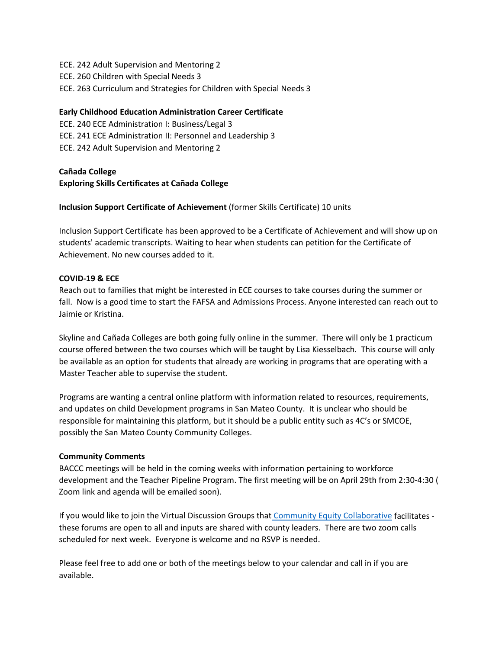ECE. 242 Adult Supervision and Mentoring 2 ECE. 260 Children with Special Needs 3 ECE. 263 Curriculum and Strategies for Children with Special Needs 3

#### **Early Childhood Education Administration Career Certificate**

ECE. 240 ECE Administration I: Business/Legal 3 ECE. 241 ECE Administration II: Personnel and Leadership 3 ECE. 242 Adult Supervision and Mentoring 2

# **Cañada College Exploring Skills Certificates at Cañada College**

# **Inclusion Support Certificate of Achievement** (former Skills Certificate) 10 units

Inclusion Support Certificate has been approved to be a Certificate of Achievement and will show up on students' academic transcripts. Waiting to hear when students can petition for the Certificate of Achievement. No new courses added to it.

# **COVID-19 & ECE**

Reach out to families that might be interested in ECE courses to take courses during the summer or fall. Now is a good time to start the FAFSA and Admissions Process. Anyone interested can reach out to Jaimie or Kristina.

Skyline and Cañada Colleges are both going fully online in the summer. There will only be 1 practicum course offered between the two courses which will be taught by Lisa Kiesselbach. This course will only be available as an option for students that already are working in programs that are operating with a Master Teacher able to supervise the student.

Programs are wanting a central online platform with information related to resources, requirements, and updates on child Development programs in San Mateo County. It is unclear who should be responsible for maintaining this platform, but it should be a public entity such as 4C's or SMCOE, possibly the San Mateo County Community Colleges.

#### **Community Comments**

BACCC meetings will be held in the coming weeks with information pertaining to workforce development and the Teacher Pipeline Program. The first meeting will be on April 29th from 2:30-4:30 ( Zoom link and agenda will be emailed soon).

If you would like to join the Virtual Discussion Groups that [Community Equity Collaborative](http://www.communityequitycollaborative.org/) facilitates these forums are open to all and inputs are shared with county leaders. There are two zoom calls scheduled for next week. Everyone is welcome and no RSVP is needed.

Please feel free to add one or both of the meetings below to your calendar and call in if you are available.